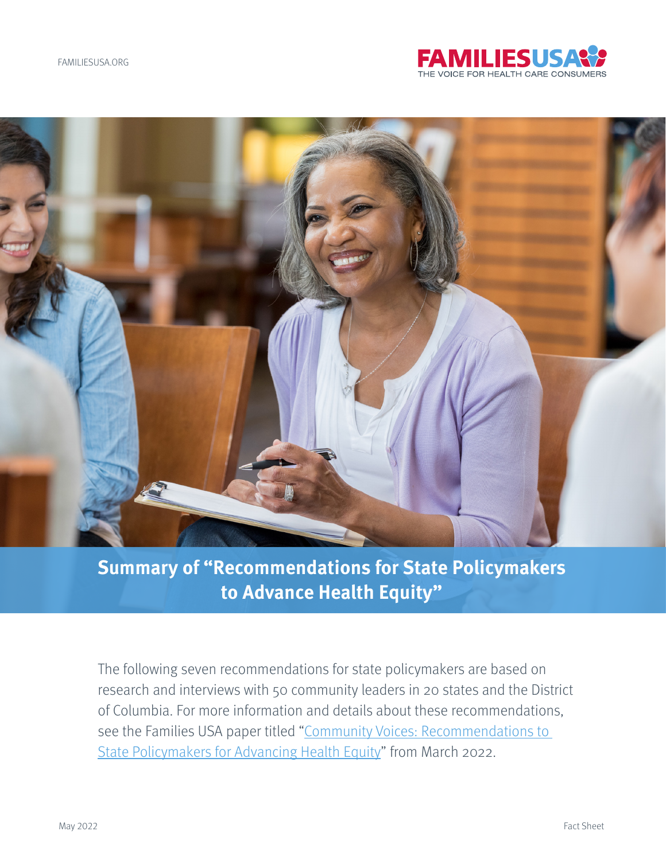



# **Summary of "Recommendations for State Policymakers to Advance Health Equity"**

The following seven recommendations for state policymakers are based on research and interviews with 50 community leaders in 20 states and the District of Columbia. For more information and details about these recommendations, see the Families USA paper titled "Community Voices: Recommendations to [State Policymakers for Advancing Health Equity](https://familiesusa.org/resources/community-voices-recommendations-to-state-policymakers-for-advancing-health-equity/)" from March 2022.